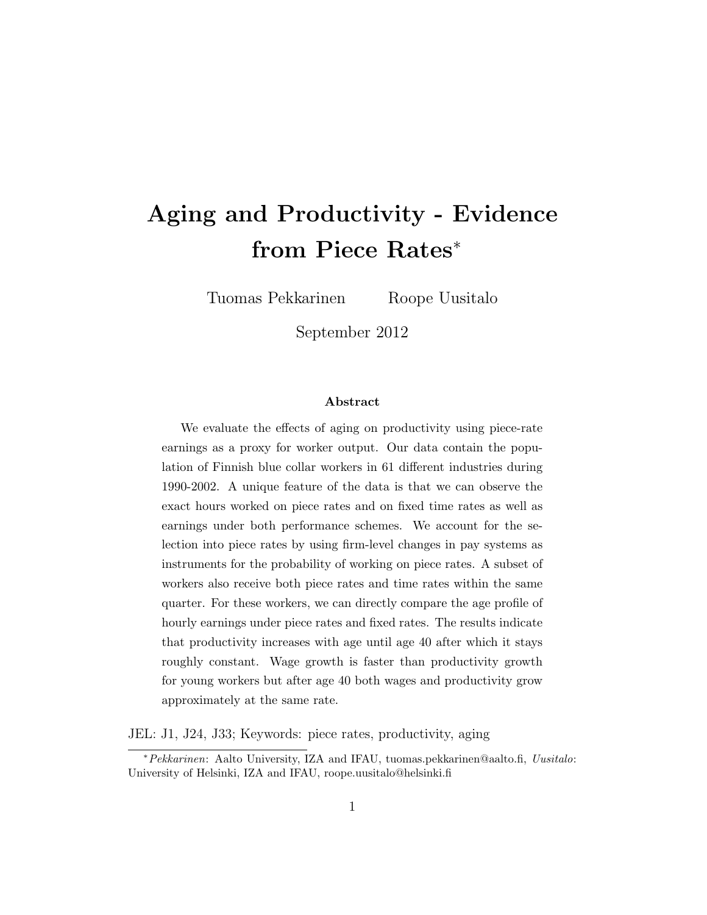# Aging and Productivity - Evidence from Piece Rates<sup>∗</sup>

Tuomas Pekkarinen Roope Uusitalo

September 2012

#### Abstract

We evaluate the effects of aging on productivity using piece-rate earnings as a proxy for worker output. Our data contain the population of Finnish blue collar workers in 61 different industries during 1990-2002. A unique feature of the data is that we can observe the exact hours worked on piece rates and on fixed time rates as well as earnings under both performance schemes. We account for the selection into piece rates by using firm-level changes in pay systems as instruments for the probability of working on piece rates. A subset of workers also receive both piece rates and time rates within the same quarter. For these workers, we can directly compare the age profile of hourly earnings under piece rates and fixed rates. The results indicate that productivity increases with age until age 40 after which it stays roughly constant. Wage growth is faster than productivity growth for young workers but after age 40 both wages and productivity grow approximately at the same rate.

JEL: J1, J24, J33; Keywords: piece rates, productivity, aging

<sup>∗</sup>Pekkarinen: Aalto University, IZA and IFAU, tuomas.pekkarinen@aalto.fi, Uusitalo: University of Helsinki, IZA and IFAU, roope.uusitalo@helsinki.fi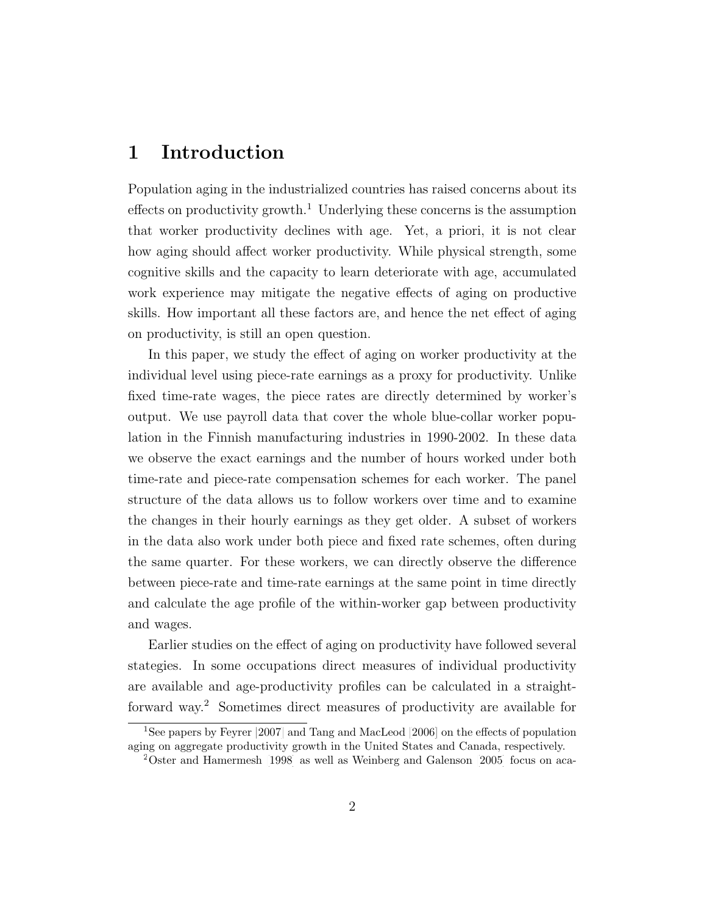### 1 Introduction

Population aging in the industrialized countries has raised concerns about its effects on productivity growth.<sup>1</sup> Underlying these concerns is the assumption that worker productivity declines with age. Yet, a priori, it is not clear how aging should affect worker productivity. While physical strength, some cognitive skills and the capacity to learn deteriorate with age, accumulated work experience may mitigate the negative effects of aging on productive skills. How important all these factors are, and hence the net effect of aging on productivity, is still an open question.

In this paper, we study the effect of aging on worker productivity at the individual level using piece-rate earnings as a proxy for productivity. Unlike fixed time-rate wages, the piece rates are directly determined by worker's output. We use payroll data that cover the whole blue-collar worker population in the Finnish manufacturing industries in 1990-2002. In these data we observe the exact earnings and the number of hours worked under both time-rate and piece-rate compensation schemes for each worker. The panel structure of the data allows us to follow workers over time and to examine the changes in their hourly earnings as they get older. A subset of workers in the data also work under both piece and fixed rate schemes, often during the same quarter. For these workers, we can directly observe the difference between piece-rate and time-rate earnings at the same point in time directly and calculate the age profile of the within-worker gap between productivity and wages.

Earlier studies on the effect of aging on productivity have followed several stategies. In some occupations direct measures of individual productivity are available and age-productivity profiles can be calculated in a straightforward way.<sup>2</sup> Sometimes direct measures of productivity are available for

<sup>1</sup>See papers by [Feyrer](#page-12-0) [\[2007\]](#page-12-0) and [Tang and MacLeod](#page-13-0) [\[2006\]](#page-13-0) on the effects of population aging on aggregate productivity growth in the United States and Canada, respectively.

<sup>2</sup>[Oster and Hamermesh](#page-13-1) [\[1998\]](#page-13-1) as well as [Weinberg and Galenson](#page-13-2) [\[2005\]](#page-13-2) focus on aca-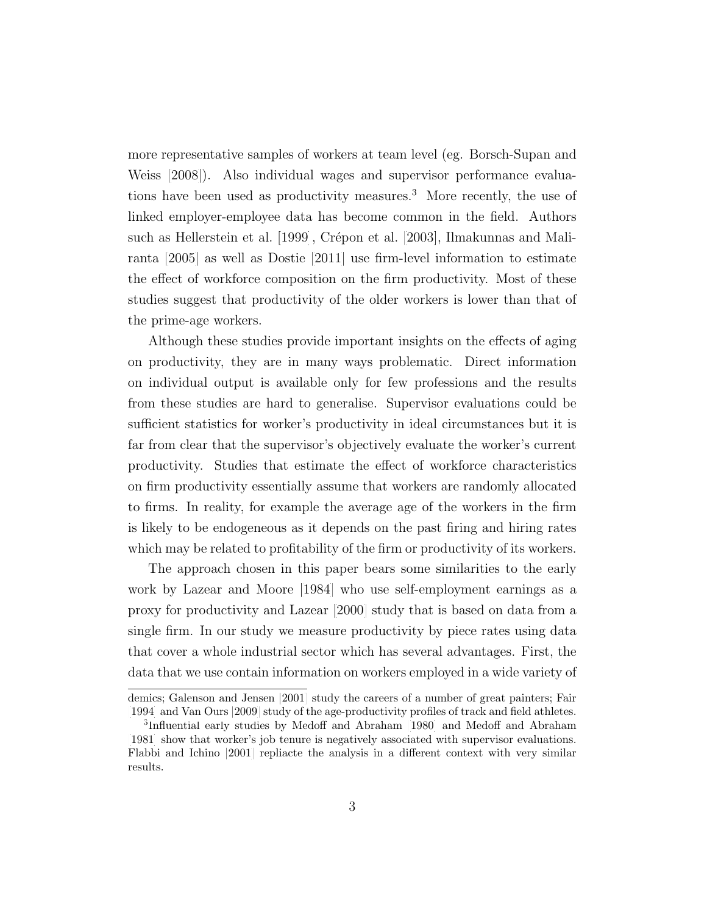more representative samples of workers at team level (eg. [Borsch-Supan and](#page-11-0) [Weiss](#page-11-0) [\[2008\]](#page-11-0)). Also individual wages and supervisor performance evaluations have been used as productivity measures.<sup>3</sup> More recently, the use of linked employer-employee data has become common in the field. Authors such as [Hellerstein et al.](#page-12-1)  $[1999]$ , Crépon et al.  $[2003]$ , [Ilmakunnas and Mali](#page-12-2)[ranta](#page-12-2) [\[2005\]](#page-12-2) as well as [Dostie](#page-11-2) [\[2011\]](#page-11-2) use firm-level information to estimate the effect of workforce composition on the firm productivity. Most of these studies suggest that productivity of the older workers is lower than that of the prime-age workers.

Although these studies provide important insights on the effects of aging on productivity, they are in many ways problematic. Direct information on individual output is available only for few professions and the results from these studies are hard to generalise. Supervisor evaluations could be sufficient statistics for worker's productivity in ideal circumstances but it is far from clear that the supervisor's objectively evaluate the worker's current productivity. Studies that estimate the effect of workforce characteristics on firm productivity essentially assume that workers are randomly allocated to firms. In reality, for example the average age of the workers in the firm is likely to be endogeneous as it depends on the past firing and hiring rates which may be related to profitability of the firm or productivity of its workers.

The approach chosen in this paper bears some similarities to the early work by [Lazear and Moore](#page-12-3) [\[1984\]](#page-12-3) who use self-employment earnings as a proxy for productivity and [Lazear](#page-12-4) [\[2000\]](#page-12-4) study that is based on data from a single firm. In our study we measure productivity by piece rates using data that cover a whole industrial sector which has several advantages. First, the data that we use contain information on workers employed in a wide variety of

demics; [Galenson and Jensen](#page-12-5) [\[2001\]](#page-12-5) study the careers of a number of great painters; [Fair](#page-11-3) [\[1994\]](#page-11-3) and [Van Ours](#page-13-3) [\[2009\]](#page-13-3) study of the age-productivity profiles of track and field athletes.

<sup>3</sup> Influential early studies by [Medoff and Abraham](#page-12-6) [\[1980\]](#page-12-6) and [Medoff and Abraham](#page-12-7) [\[1981\]](#page-12-7) show that worker's job tenure is negatively associated with supervisor evaluations. [Flabbi and Ichino](#page-12-8) [\[2001\]](#page-12-8) repliacte the analysis in a different context with very similar results.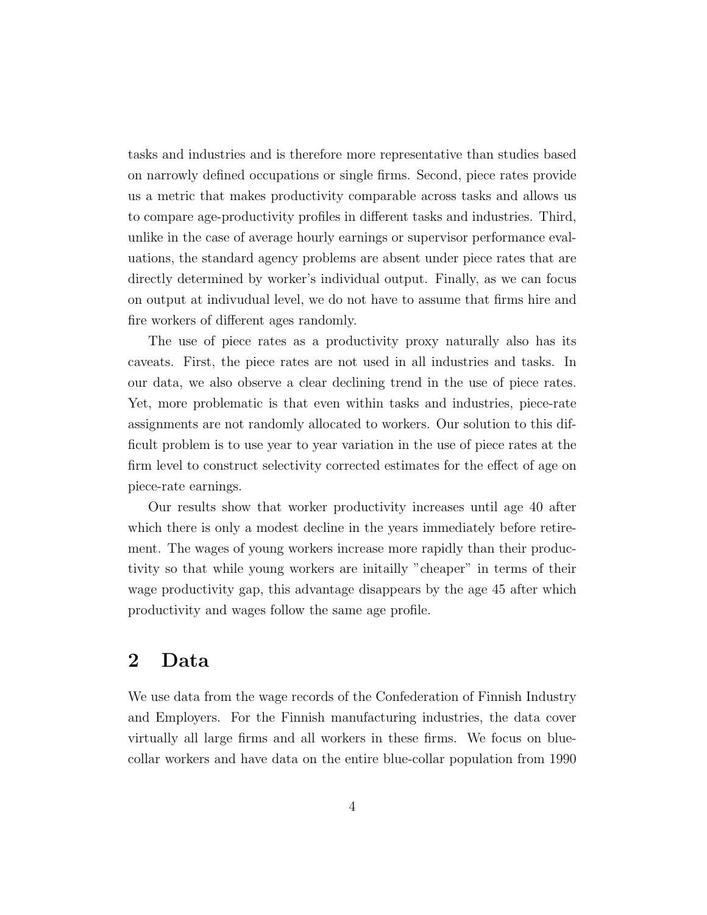tasks and industries and is therefore more representative than studies based on narrowly defined occupations or single firms. Second, piece rates provide us a metric that makes productivity comparable across tasks and allows us to compare age-productivity profiles in different tasks and industries. Third, unlike in the case of average hourly earnings or supervisor performance evaluations, the standard agency problems are absent under piece rates that are directly determined by worker's individual output. Finally, as we can focus on output at indivudual level, we do not have to assume that firms hire and fire workers of different ages randomly.

The use of piece rates as a productivity proxy naturally also has its caveats. First, the piece rates are not used in all industries and tasks. In our data, we also observe a clear declining trend in the use of piece rates. Yet, more problematic is that even within tasks and industries, piece-rate assignments are not randomly allocated to workers. Our solution to this difficult problem is to use year to year variation in the use of piece rates at the firm level to construct selectivity corrected estimates for the effect of age on piece-rate earnings.

Our results show that worker productivity increases until age 40 after which there is only a modest decline in the years immediately before retirement. The wages of young workers increase more rapidly than their productivity so that while young workers are initailly "cheaper" in terms of their wage productivity gap, this advantage disappears by the age 45 after which productivity and wages follow the same age profile.

### 2 Data

We use data from the wage records of the Confederation of Finnish Industry and Employers. For the Finnish manufacturing industries, the data cover virtually all large firms and all workers in these firms. We focus on bluecollar workers and have data on the entire blue-collar population from 1990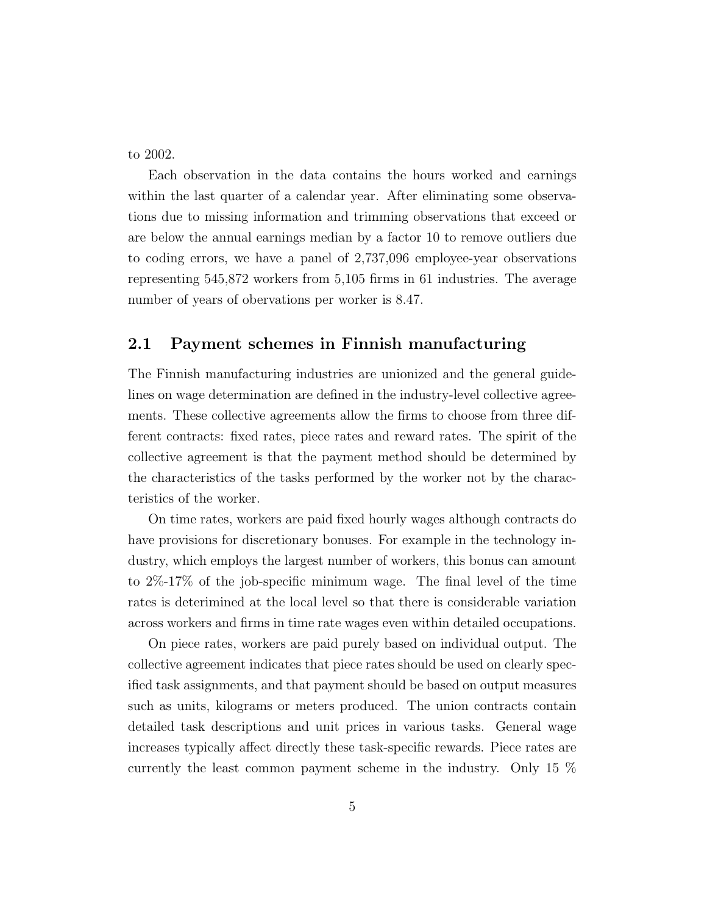to 2002.

Each observation in the data contains the hours worked and earnings within the last quarter of a calendar year. After eliminating some observations due to missing information and trimming observations that exceed or are below the annual earnings median by a factor 10 to remove outliers due to coding errors, we have a panel of 2,737,096 employee-year observations representing 545,872 workers from 5,105 firms in 61 industries. The average number of years of obervations per worker is 8.47.

### 2.1 Payment schemes in Finnish manufacturing

The Finnish manufacturing industries are unionized and the general guidelines on wage determination are defined in the industry-level collective agreements. These collective agreements allow the firms to choose from three different contracts: fixed rates, piece rates and reward rates. The spirit of the collective agreement is that the payment method should be determined by the characteristics of the tasks performed by the worker not by the characteristics of the worker.

On time rates, workers are paid fixed hourly wages although contracts do have provisions for discretionary bonuses. For example in the technology industry, which employs the largest number of workers, this bonus can amount to 2%-17% of the job-specific minimum wage. The final level of the time rates is deterimined at the local level so that there is considerable variation across workers and firms in time rate wages even within detailed occupations.

On piece rates, workers are paid purely based on individual output. The collective agreement indicates that piece rates should be used on clearly specified task assignments, and that payment should be based on output measures such as units, kilograms or meters produced. The union contracts contain detailed task descriptions and unit prices in various tasks. General wage increases typically affect directly these task-specific rewards. Piece rates are currently the least common payment scheme in the industry. Only 15 %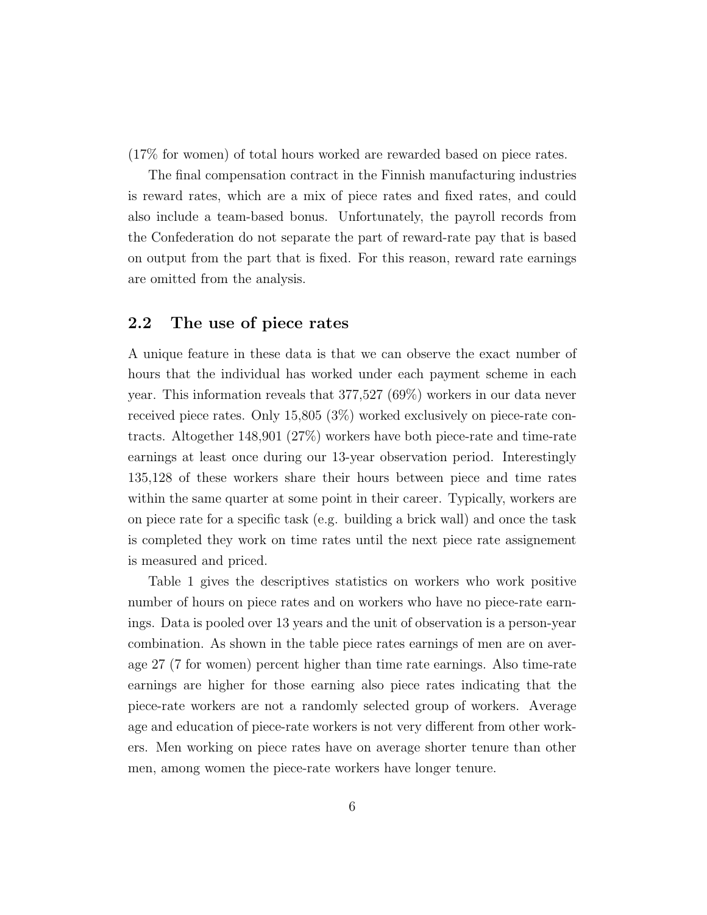(17% for women) of total hours worked are rewarded based on piece rates.

The final compensation contract in the Finnish manufacturing industries is reward rates, which are a mix of piece rates and fixed rates, and could also include a team-based bonus. Unfortunately, the payroll records from the Confederation do not separate the part of reward-rate pay that is based on output from the part that is fixed. For this reason, reward rate earnings are omitted from the analysis.

#### 2.2 The use of piece rates

A unique feature in these data is that we can observe the exact number of hours that the individual has worked under each payment scheme in each year. This information reveals that 377,527 (69%) workers in our data never received piece rates. Only 15,805 (3%) worked exclusively on piece-rate contracts. Altogether 148,901 (27%) workers have both piece-rate and time-rate earnings at least once during our 13-year observation period. Interestingly 135,128 of these workers share their hours between piece and time rates within the same quarter at some point in their career. Typically, workers are on piece rate for a specific task (e.g. building a brick wall) and once the task is completed they work on time rates until the next piece rate assignement is measured and priced.

Table 1 gives the descriptives statistics on workers who work positive number of hours on piece rates and on workers who have no piece-rate earnings. Data is pooled over 13 years and the unit of observation is a person-year combination. As shown in the table piece rates earnings of men are on average 27 (7 for women) percent higher than time rate earnings. Also time-rate earnings are higher for those earning also piece rates indicating that the piece-rate workers are not a randomly selected group of workers. Average age and education of piece-rate workers is not very different from other workers. Men working on piece rates have on average shorter tenure than other men, among women the piece-rate workers have longer tenure.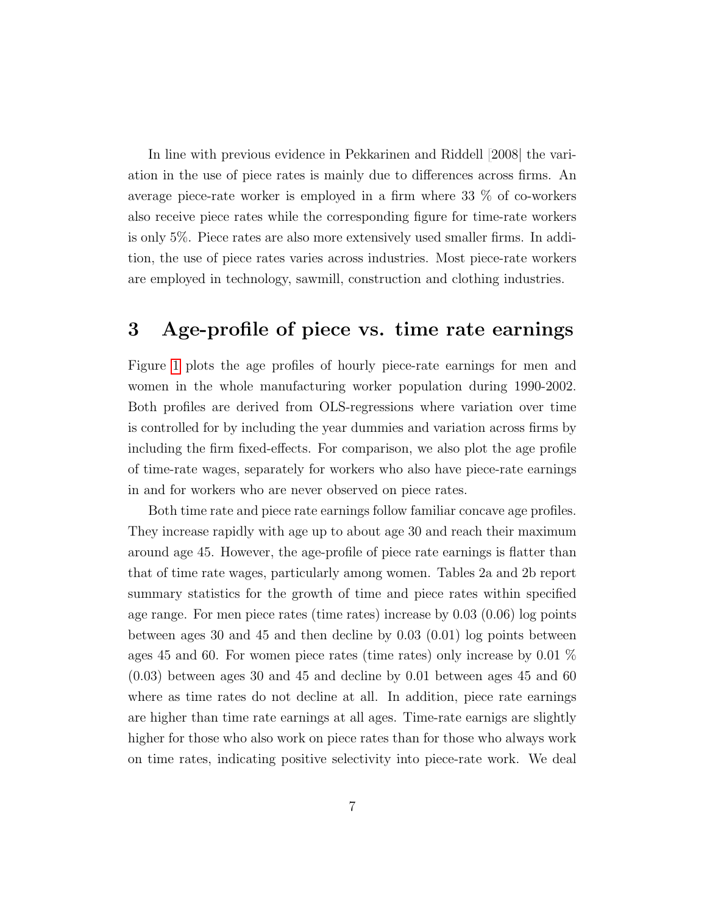In line with previous evidence in [Pekkarinen and Riddell](#page-13-4) [\[2008\]](#page-13-4) the variation in the use of piece rates is mainly due to differences across firms. An average piece-rate worker is employed in a firm where 33 % of co-workers also receive piece rates while the corresponding figure for time-rate workers is only 5%. Piece rates are also more extensively used smaller firms. In addition, the use of piece rates varies across industries. Most piece-rate workers are employed in technology, sawmill, construction and clothing industries.

# 3 Age-profile of piece vs. time rate earnings

Figure [1](#page-14-0) plots the age profiles of hourly piece-rate earnings for men and women in the whole manufacturing worker population during 1990-2002. Both profiles are derived from OLS-regressions where variation over time is controlled for by including the year dummies and variation across firms by including the firm fixed-effects. For comparison, we also plot the age profile of time-rate wages, separately for workers who also have piece-rate earnings in and for workers who are never observed on piece rates.

Both time rate and piece rate earnings follow familiar concave age profiles. They increase rapidly with age up to about age 30 and reach their maximum around age 45. However, the age-profile of piece rate earnings is flatter than that of time rate wages, particularly among women. Tables 2a and 2b report summary statistics for the growth of time and piece rates within specified age range. For men piece rates (time rates) increase by 0.03 (0.06) log points between ages 30 and 45 and then decline by 0.03 (0.01) log points between ages 45 and 60. For women piece rates (time rates) only increase by 0.01 %  $(0.03)$  between ages 30 and 45 and decline by 0.01 between ages 45 and 60 where as time rates do not decline at all. In addition, piece rate earnings are higher than time rate earnings at all ages. Time-rate earnigs are slightly higher for those who also work on piece rates than for those who always work on time rates, indicating positive selectivity into piece-rate work. We deal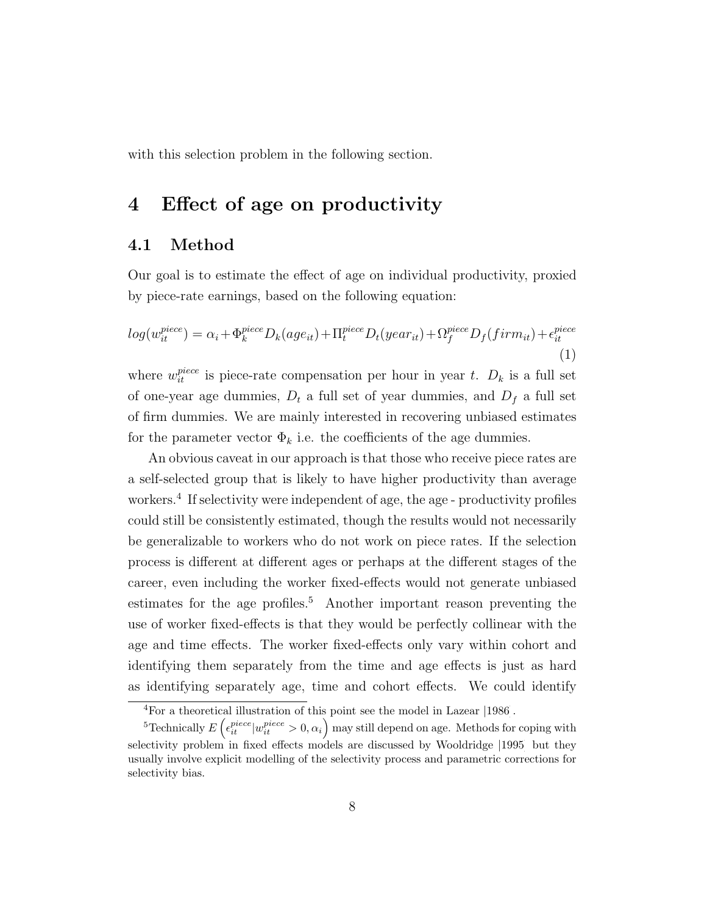with this selection problem in the following section.

## 4 Effect of age on productivity

### 4.1 Method

Our goal is to estimate the effect of age on individual productivity, proxied by piece-rate earnings, based on the following equation:

$$
log(w_{it}^{piece}) = \alpha_i + \Phi_k^{piece} D_k(age_{it}) + \Pi_t^{piece} D_t(year_{it}) + \Omega_f^{piece} D_f(firm_{it}) + \epsilon_{it}^{piece}
$$
\n(1)

where  $w_{it}^{piece}$  is piece-rate compensation per hour in year t.  $D_k$  is a full set of one-year age dummies,  $D_t$  a full set of year dummies, and  $D_f$  a full set of firm dummies. We are mainly interested in recovering unbiased estimates for the parameter vector  $\Phi_k$  i.e. the coefficients of the age dummies.

An obvious caveat in our approach is that those who receive piece rates are a self-selected group that is likely to have higher productivity than average workers.<sup>4</sup> If selectivity were independent of age, the age - productivity profiles could still be consistently estimated, though the results would not necessarily be generalizable to workers who do not work on piece rates. If the selection process is different at different ages or perhaps at the different stages of the career, even including the worker fixed-effects would not generate unbiased estimates for the age profiles.<sup>5</sup> Another important reason preventing the use of worker fixed-effects is that they would be perfectly collinear with the age and time effects. The worker fixed-effects only vary within cohort and identifying them separately from the time and age effects is just as hard as identifying separately age, time and cohort effects. We could identify

<sup>4</sup>For a theoretical illustration of this point see the model in [Lazear](#page-12-9) [\[1986\]](#page-12-9).

<sup>&</sup>lt;sup>5</sup>Technically  $E\left(\epsilon_{it}^{piece}|w_{it}^{piece} > 0, \alpha_i\right)$  may still depend on age. Methods for coping with selectivity problem in fixed effects models are discussed by [Wooldridge](#page-13-5) [\[1995\]](#page-13-5) but they usually involve explicit modelling of the selectivity process and parametric corrections for selectivity bias.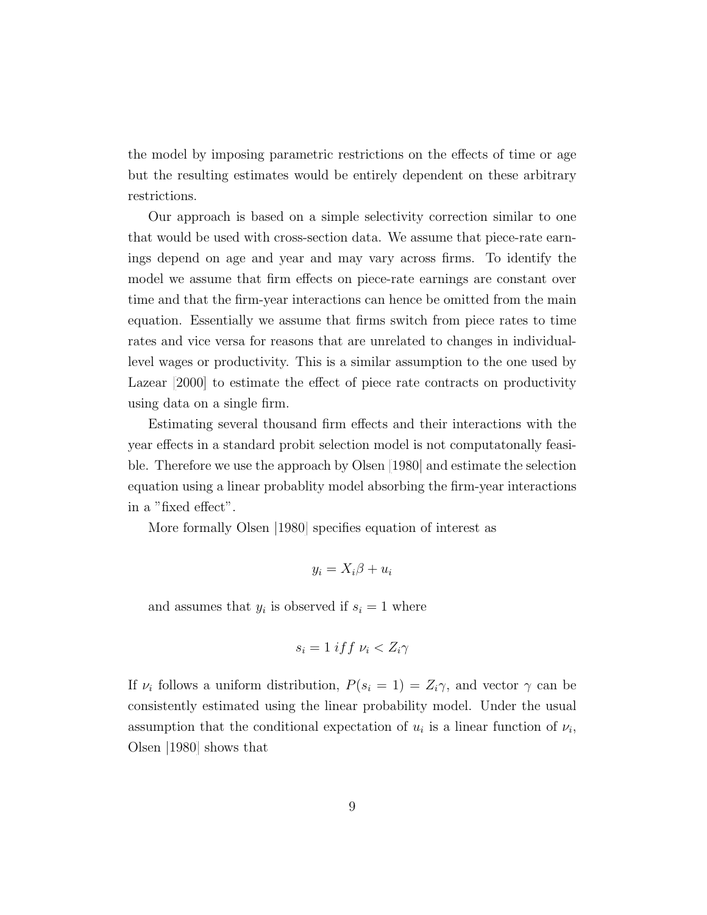the model by imposing parametric restrictions on the effects of time or age but the resulting estimates would be entirely dependent on these arbitrary restrictions.

Our approach is based on a simple selectivity correction similar to one that would be used with cross-section data. We assume that piece-rate earnings depend on age and year and may vary across firms. To identify the model we assume that firm effects on piece-rate earnings are constant over time and that the firm-year interactions can hence be omitted from the main equation. Essentially we assume that firms switch from piece rates to time rates and vice versa for reasons that are unrelated to changes in individuallevel wages or productivity. This is a similar assumption to the one used by [Lazear](#page-12-4) [\[2000\]](#page-12-4) to estimate the effect of piece rate contracts on productivity using data on a single firm.

Estimating several thousand firm effects and their interactions with the year effects in a standard probit selection model is not computatonally feasible. Therefore we use the approach by [Olsen](#page-12-10) [\[1980\]](#page-12-10) and estimate the selection equation using a linear probablity model absorbing the firm-year interactions in a "fixed effect".

More formally [Olsen](#page-12-10) [\[1980\]](#page-12-10) specifies equation of interest as

$$
y_i = X_i \beta + u_i
$$

and assumes that  $y_i$  is observed if  $s_i = 1$  where

$$
s_i = 1 \; if \; t \; \nu_i < Z_i \gamma
$$

If  $\nu_i$  follows a uniform distribution,  $P(s_i = 1) = Z_i \gamma$ , and vector  $\gamma$  can be consistently estimated using the linear probability model. Under the usual assumption that the conditional expectation of  $u_i$  is a linear function of  $\nu_i$ , [Olsen](#page-12-10) [\[1980\]](#page-12-10) shows that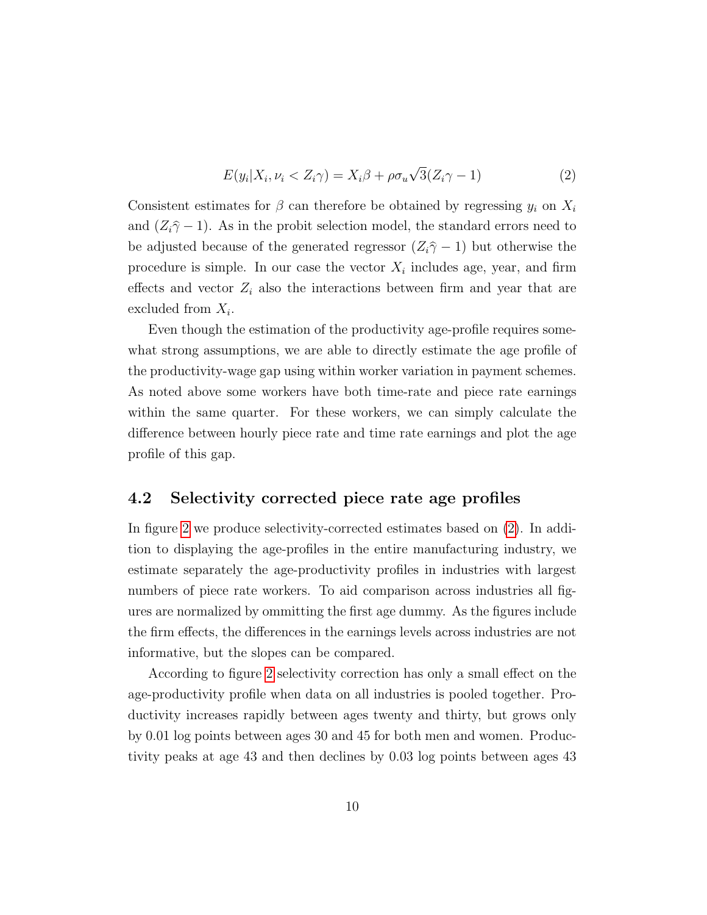<span id="page-9-0"></span>
$$
E(y_i|X_i, \nu_i < Z_i\gamma) = X_i\beta + \rho\sigma_u\sqrt{3}(Z_i\gamma - 1) \tag{2}
$$

Consistent estimates for  $\beta$  can therefore be obtained by regressing  $y_i$  on  $X_i$ and  $(Z_i\hat{\gamma}-1)$ . As in the probit selection model, the standard errors need to be adjusted because of the generated regressor  $(Z_i\hat{\gamma}-1)$  but otherwise the procedure is simple. In our case the vector  $X_i$  includes age, year, and firm effects and vector  $Z_i$  also the interactions between firm and year that are excluded from  $X_i$ .

Even though the estimation of the productivity age-profile requires somewhat strong assumptions, we are able to directly estimate the age profile of the productivity-wage gap using within worker variation in payment schemes. As noted above some workers have both time-rate and piece rate earnings within the same quarter. For these workers, we can simply calculate the difference between hourly piece rate and time rate earnings and plot the age profile of this gap.

#### 4.2 Selectivity corrected piece rate age profiles

In figure [2](#page-15-0) we produce selectivity-corrected estimates based on [\(2\)](#page-9-0). In addition to displaying the age-profiles in the entire manufacturing industry, we estimate separately the age-productivity profiles in industries with largest numbers of piece rate workers. To aid comparison across industries all figures are normalized by ommitting the first age dummy. As the figures include the firm effects, the differences in the earnings levels across industries are not informative, but the slopes can be compared.

According to figure [2](#page-15-0) selectivity correction has only a small effect on the age-productivity profile when data on all industries is pooled together. Productivity increases rapidly between ages twenty and thirty, but grows only by 0.01 log points between ages 30 and 45 for both men and women. Productivity peaks at age 43 and then declines by 0.03 log points between ages 43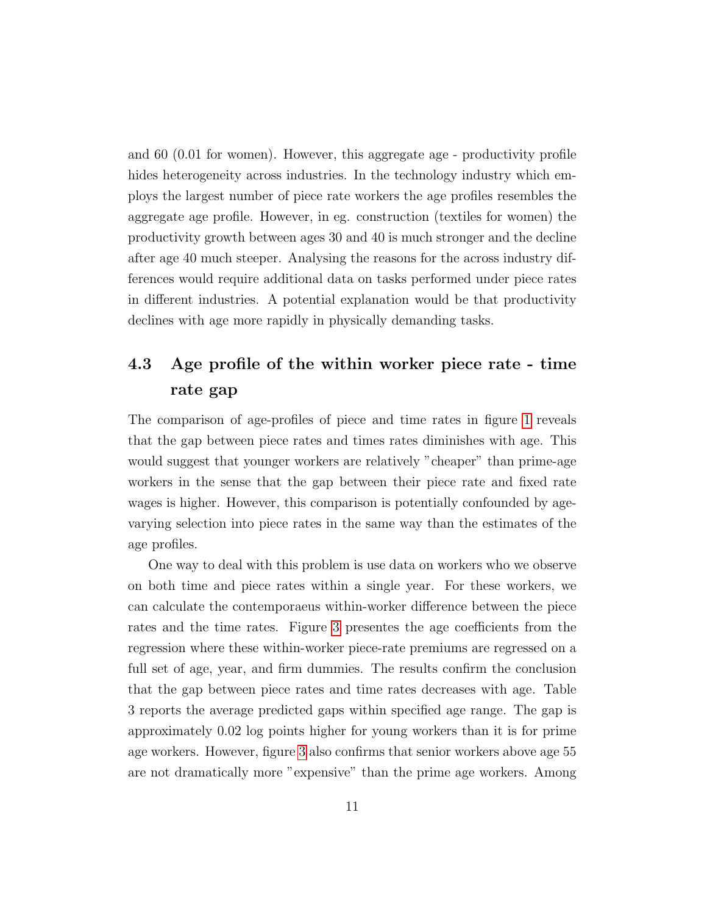and 60 (0.01 for women). However, this aggregate age - productivity profile hides heterogeneity across industries. In the technology industry which employs the largest number of piece rate workers the age profiles resembles the aggregate age profile. However, in eg. construction (textiles for women) the productivity growth between ages 30 and 40 is much stronger and the decline after age 40 much steeper. Analysing the reasons for the across industry differences would require additional data on tasks performed under piece rates in different industries. A potential explanation would be that productivity declines with age more rapidly in physically demanding tasks.

# 4.3 Age profile of the within worker piece rate - time rate gap

The comparison of age-profiles of piece and time rates in figure [1](#page-14-0) reveals that the gap between piece rates and times rates diminishes with age. This would suggest that younger workers are relatively "cheaper" than prime-age workers in the sense that the gap between their piece rate and fixed rate wages is higher. However, this comparison is potentially confounded by agevarying selection into piece rates in the same way than the estimates of the age profiles.

One way to deal with this problem is use data on workers who we observe on both time and piece rates within a single year. For these workers, we can calculate the contemporaeus within-worker difference between the piece rates and the time rates. Figure [3](#page-16-0) presentes the age coefficients from the regression where these within-worker piece-rate premiums are regressed on a full set of age, year, and firm dummies. The results confirm the conclusion that the gap between piece rates and time rates decreases with age. Table 3 reports the average predicted gaps within specified age range. The gap is approximately 0.02 log points higher for young workers than it is for prime age workers. However, figure [3](#page-16-0) also confirms that senior workers above age 55 are not dramatically more "expensive" than the prime age workers. Among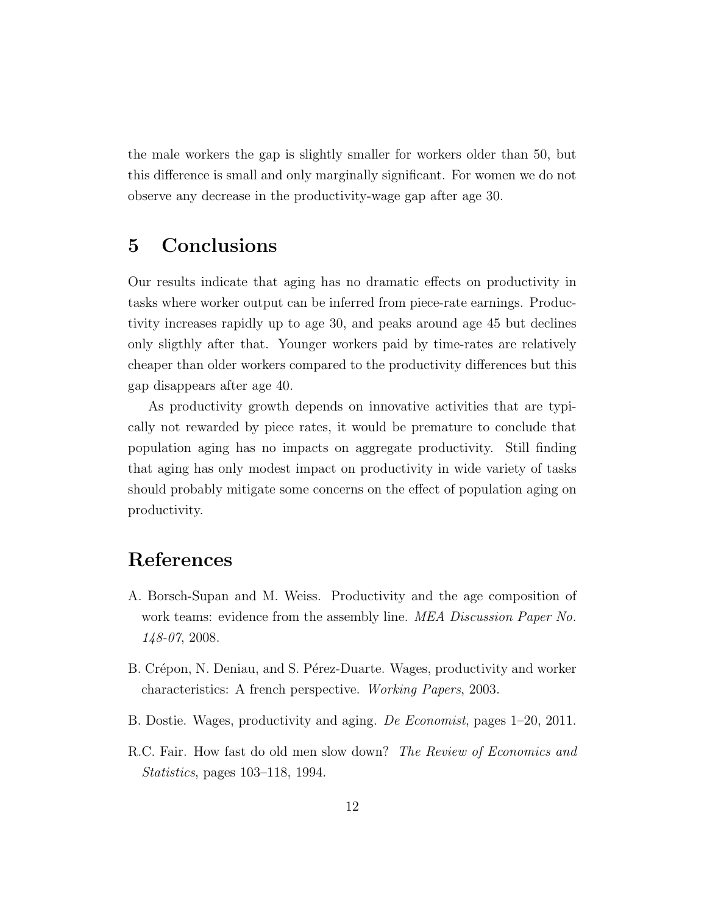the male workers the gap is slightly smaller for workers older than 50, but this difference is small and only marginally significant. For women we do not observe any decrease in the productivity-wage gap after age 30.

## 5 Conclusions

Our results indicate that aging has no dramatic effects on productivity in tasks where worker output can be inferred from piece-rate earnings. Productivity increases rapidly up to age 30, and peaks around age 45 but declines only sligthly after that. Younger workers paid by time-rates are relatively cheaper than older workers compared to the productivity differences but this gap disappears after age 40.

As productivity growth depends on innovative activities that are typically not rewarded by piece rates, it would be premature to conclude that population aging has no impacts on aggregate productivity. Still finding that aging has only modest impact on productivity in wide variety of tasks should probably mitigate some concerns on the effect of population aging on productivity.

### References

- <span id="page-11-0"></span>A. Borsch-Supan and M. Weiss. Productivity and the age composition of work teams: evidence from the assembly line. MEA Discussion Paper No. 148-07, 2008.
- <span id="page-11-1"></span>B. Crépon, N. Deniau, and S. Pérez-Duarte. Wages, productivity and worker characteristics: A french perspective. Working Papers, 2003.
- <span id="page-11-2"></span>B. Dostie. Wages, productivity and aging. De Economist, pages 1–20, 2011.
- <span id="page-11-3"></span>R.C. Fair. How fast do old men slow down? The Review of Economics and Statistics, pages 103–118, 1994.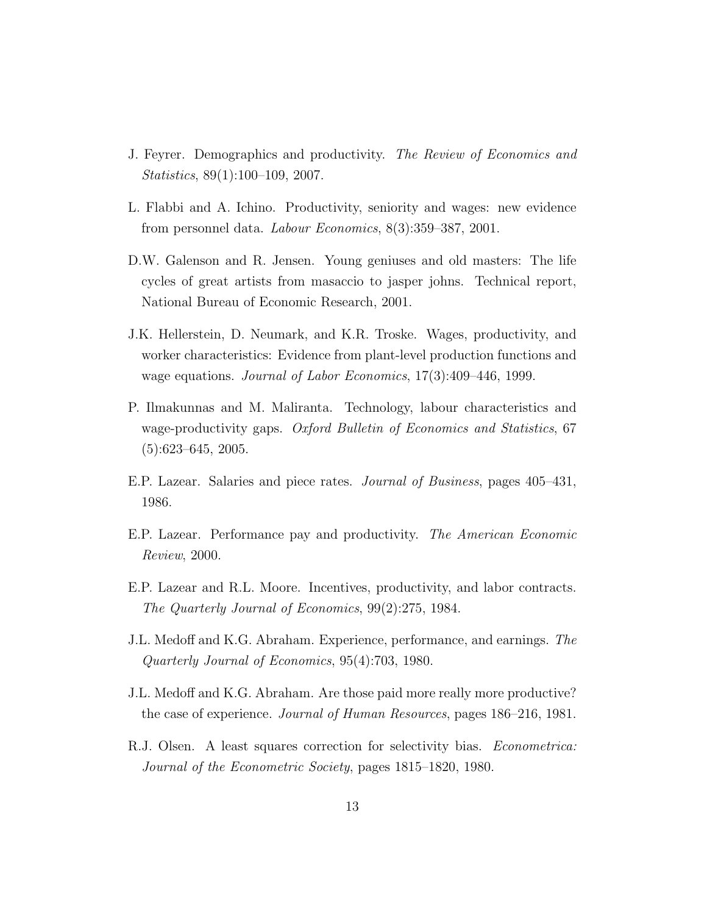- <span id="page-12-0"></span>J. Feyrer. Demographics and productivity. The Review of Economics and Statistics, 89(1):100–109, 2007.
- <span id="page-12-8"></span>L. Flabbi and A. Ichino. Productivity, seniority and wages: new evidence from personnel data. Labour Economics, 8(3):359–387, 2001.
- <span id="page-12-5"></span>D.W. Galenson and R. Jensen. Young geniuses and old masters: The life cycles of great artists from masaccio to jasper johns. Technical report, National Bureau of Economic Research, 2001.
- <span id="page-12-1"></span>J.K. Hellerstein, D. Neumark, and K.R. Troske. Wages, productivity, and worker characteristics: Evidence from plant-level production functions and wage equations. Journal of Labor Economics, 17(3):409–446, 1999.
- <span id="page-12-2"></span>P. Ilmakunnas and M. Maliranta. Technology, labour characteristics and wage-productivity gaps. Oxford Bulletin of Economics and Statistics, 67  $(5):623-645, 2005.$
- <span id="page-12-9"></span>E.P. Lazear. Salaries and piece rates. Journal of Business, pages 405–431, 1986.
- <span id="page-12-4"></span>E.P. Lazear. Performance pay and productivity. The American Economic Review, 2000.
- <span id="page-12-3"></span>E.P. Lazear and R.L. Moore. Incentives, productivity, and labor contracts. The Quarterly Journal of Economics, 99(2):275, 1984.
- <span id="page-12-6"></span>J.L. Medoff and K.G. Abraham. Experience, performance, and earnings. The Quarterly Journal of Economics, 95(4):703, 1980.
- <span id="page-12-7"></span>J.L. Medoff and K.G. Abraham. Are those paid more really more productive? the case of experience. Journal of Human Resources, pages 186–216, 1981.
- <span id="page-12-10"></span>R.J. Olsen. A least squares correction for selectivity bias. Econometrica: Journal of the Econometric Society, pages 1815–1820, 1980.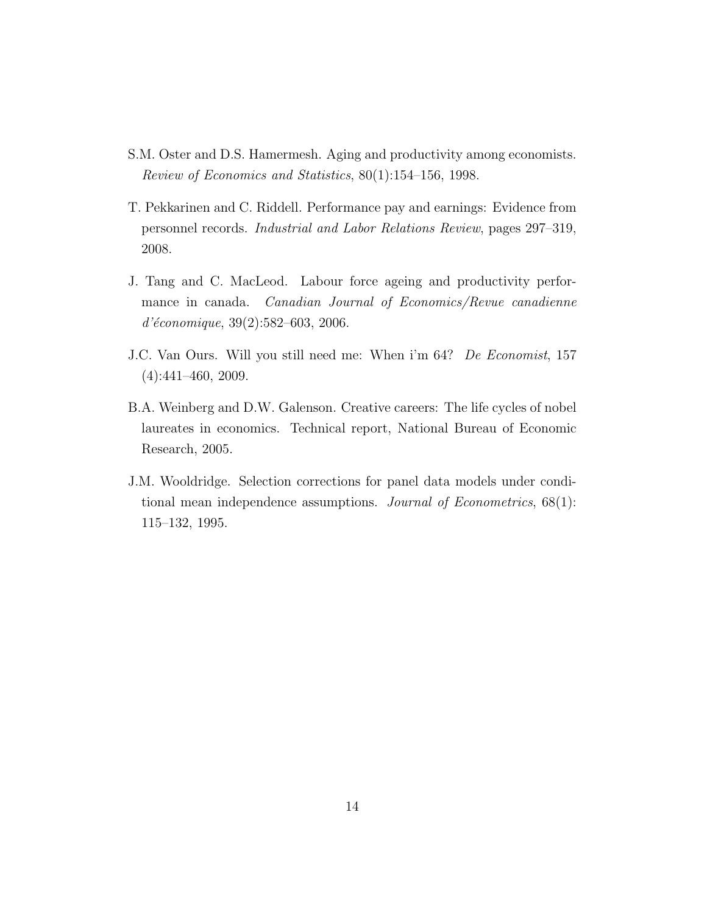- <span id="page-13-1"></span>S.M. Oster and D.S. Hamermesh. Aging and productivity among economists. Review of Economics and Statistics, 80(1):154–156, 1998.
- <span id="page-13-4"></span>T. Pekkarinen and C. Riddell. Performance pay and earnings: Evidence from personnel records. Industrial and Labor Relations Review, pages 297–319, 2008.
- <span id="page-13-0"></span>J. Tang and C. MacLeod. Labour force ageing and productivity performance in canada. *Canadian Journal of Economics/Revue canadienne*  $d'économique, 39(2):582–603, 2006.$
- <span id="page-13-3"></span>J.C. Van Ours. Will you still need me: When i'm 64? De Economist, 157 (4):441–460, 2009.
- <span id="page-13-2"></span>B.A. Weinberg and D.W. Galenson. Creative careers: The life cycles of nobel laureates in economics. Technical report, National Bureau of Economic Research, 2005.
- <span id="page-13-5"></span>J.M. Wooldridge. Selection corrections for panel data models under conditional mean independence assumptions. Journal of Econometrics,  $68(1)$ : 115–132, 1995.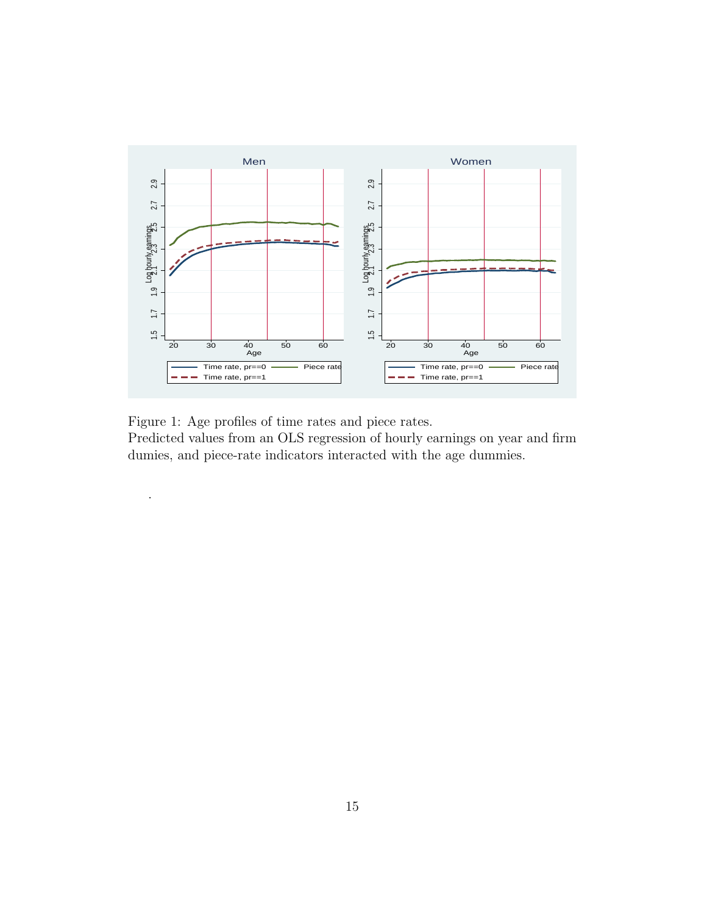

<span id="page-14-0"></span>

.

Predicted values from an OLS regression of hourly earnings on year and firm dumies, and piece-rate indicators interacted with the age dummies.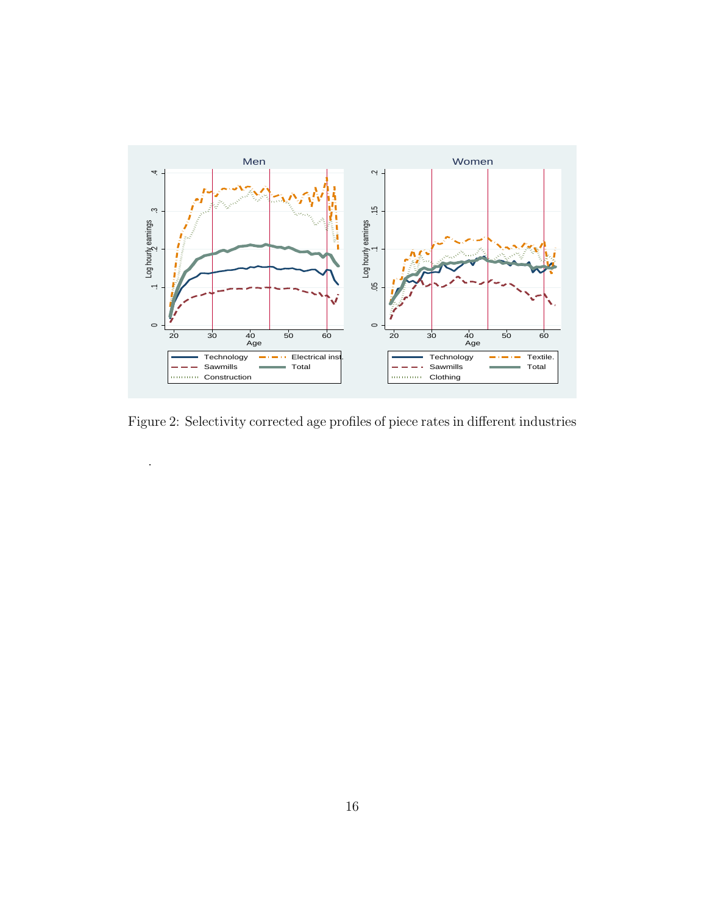

<span id="page-15-0"></span>Figure 2: Selectivity corrected age profiles of piece rates in different industries

.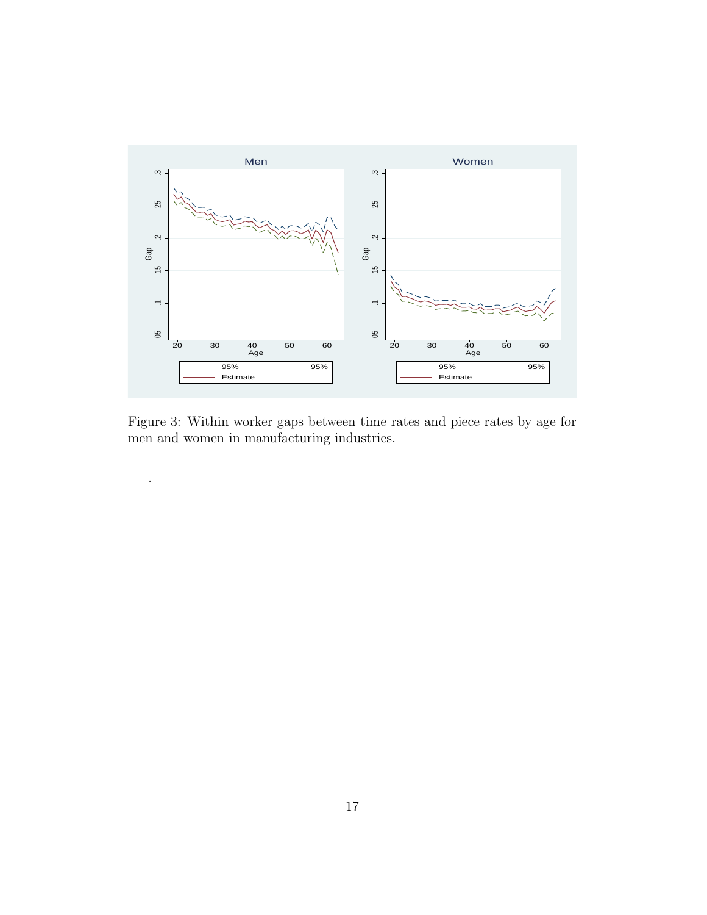

<span id="page-16-0"></span>Figure 3: Within worker gaps between time rates and piece rates by age for men and women in manufacturing industries.

.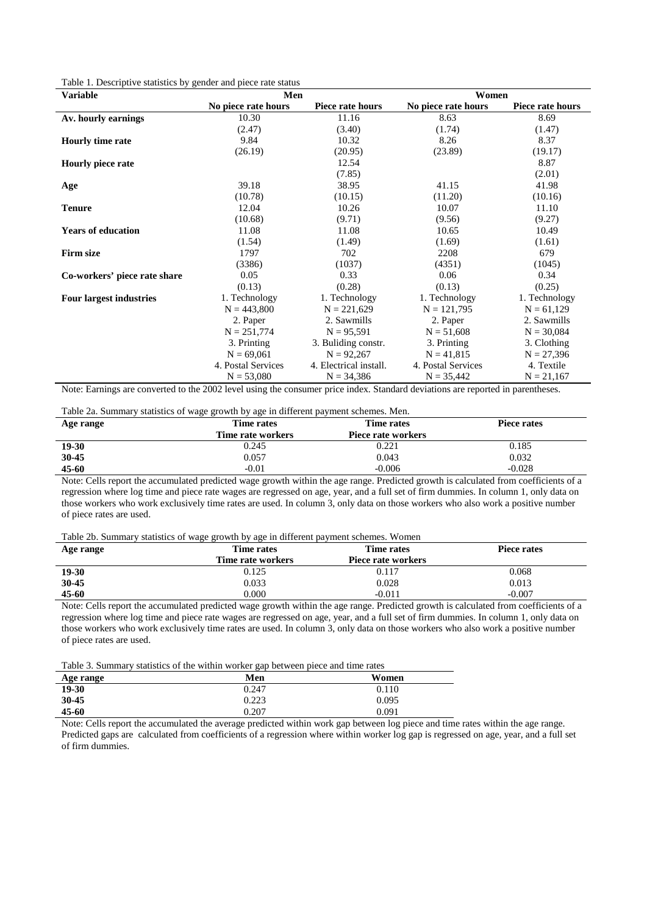| <b>Variable</b>                | Men                 |                        | Women               |                  |  |  |
|--------------------------------|---------------------|------------------------|---------------------|------------------|--|--|
|                                | No piece rate hours | Piece rate hours       | No piece rate hours | Piece rate hours |  |  |
| Av. hourly earnings            | 10.30               | 11.16                  | 8.63                | 8.69             |  |  |
|                                | (2.47)              | (3.40)                 | (1.74)              | (1.47)           |  |  |
| <b>Hourly time rate</b>        | 9.84                | 10.32                  | 8.26                | 8.37             |  |  |
|                                | (26.19)             | (20.95)                | (23.89)             | (19.17)          |  |  |
| <b>Hourly piece rate</b>       |                     | 12.54                  |                     | 8.87             |  |  |
|                                |                     | (7.85)                 |                     | (2.01)           |  |  |
| Age                            | 39.18               | 38.95                  | 41.15               | 41.98            |  |  |
|                                | (10.78)             | (10.15)                | (11.20)             | (10.16)          |  |  |
| <b>Tenure</b>                  | 12.04               | 10.26                  | 10.07               | 11.10            |  |  |
|                                | (10.68)             | (9.71)                 | (9.56)              | (9.27)           |  |  |
| <b>Years of education</b>      | 11.08               | 11.08                  | 10.65               | 10.49            |  |  |
|                                | (1.54)              | (1.49)                 | (1.69)              | (1.61)           |  |  |
| <b>Firm size</b>               | 1797                | 702                    | 2208                | 679              |  |  |
|                                | (3386)              | (1037)                 | (4351)              | (1045)           |  |  |
| Co-workers' piece rate share   | 0.05                | 0.33                   | 0.06                | 0.34             |  |  |
|                                | (0.13)              | (0.28)                 | (0.13)              | (0.25)           |  |  |
| <b>Four largest industries</b> | 1. Technology       | 1. Technology          | 1. Technology       | 1. Technology    |  |  |
|                                | $N = 443,800$       | $N = 221,629$          | $N = 121,795$       | $N = 61,129$     |  |  |
|                                | 2. Paper            | 2. Sawmills            | 2. Paper            | 2. Sawmills      |  |  |
|                                | $N = 251,774$       | $N = 95,591$           | $N = 51,608$        | $N = 30,084$     |  |  |
|                                | 3. Printing         | 3. Buliding constr.    | 3. Printing         | 3. Clothing      |  |  |
|                                | $N = 69,061$        | $N = 92,267$           | $N = 41,815$        | $N = 27,396$     |  |  |
|                                | 4. Postal Services  | 4. Electrical install. | 4. Postal Services  | 4. Textile       |  |  |
|                                | $N = 53,080$        | $N = 34,386$           | $N = 35,442$        | $N = 21,167$     |  |  |

Note: Earnings are converted to the 2002 level using the consumer price index. Standard deviations are reported in parentheses.

Table 2a. Summary statistics of wage growth by age in different payment schemes. Men.

|              | $\sim$<br>. .     |                                        |                                                                             |  |
|--------------|-------------------|----------------------------------------|-----------------------------------------------------------------------------|--|
| Age range    | Time rates        | Time rates                             | Piece rates                                                                 |  |
|              | Time rate workers | Piece rate workers                     |                                                                             |  |
| 19-30        | 0.245             | 0.221                                  | 0.185                                                                       |  |
| 30-45        | 0.057             | 0.043                                  | 0.032                                                                       |  |
| $45 - 60$    | $-0.01$           | $-0.006$                               | $-0.028$                                                                    |  |
| $\mathbf{v}$ | .                 | $\mathbf{r}$ $\mathbf{r}$ $\mathbf{r}$ | $\sim$ $\sim$ $\sim$<br>$\mathbf{1}$ $\mathbf{1}$ $\mathbf{1}$ $\mathbf{1}$ |  |

Note: Cells report the accumulated predicted wage growth within the age range. Predicted growth is calculated from coefficients of a regression where log time and piece rate wages are regressed on age, year, and a full set of firm dummies. In column 1, only data on those workers who work exclusively time rates are used. In column 3, only data on those workers who also work a positive number of piece rates are used.

#### Table 2b. Summary statistics of wage growth by age in different payment schemes. Women

| Age range | Time rates        | Time rates         | Piece rates |  |
|-----------|-------------------|--------------------|-------------|--|
|           | Time rate workers | Piece rate workers |             |  |
| 19-30     | 0.125             | 0.117              | 0.068       |  |
| 30-45     | 0.033             | 0.028              | 0.013       |  |
| $45 - 60$ | 0.000             | $-0.011$           | $-0.007$    |  |

Note: Cells report the accumulated predicted wage growth within the age range. Predicted growth is calculated from coefficients of a regression where log time and piece rate wages are regressed on age, year, and a full set of firm dummies. In column 1, only data on those workers who work exclusively time rates are used. In column 3, only data on those workers who also work a positive number of piece rates are used.

Table 3. Summary statistics of the within worker gap between piece and time rates

| Age range | 0 I<br>Men | Women |
|-----------|------------|-------|
| 19-30     | 0.247      | 0.110 |
| $30 - 45$ | 0.223      | 0.095 |
| 45-60     | 0.207      | 0.091 |

Note: Cells report the accumulated the average predicted within work gap between log piece and time rates within the age range. Predicted gaps are calculated from coefficients of a regression where within worker log gap is regressed on age, year, and a full set of firm dummies.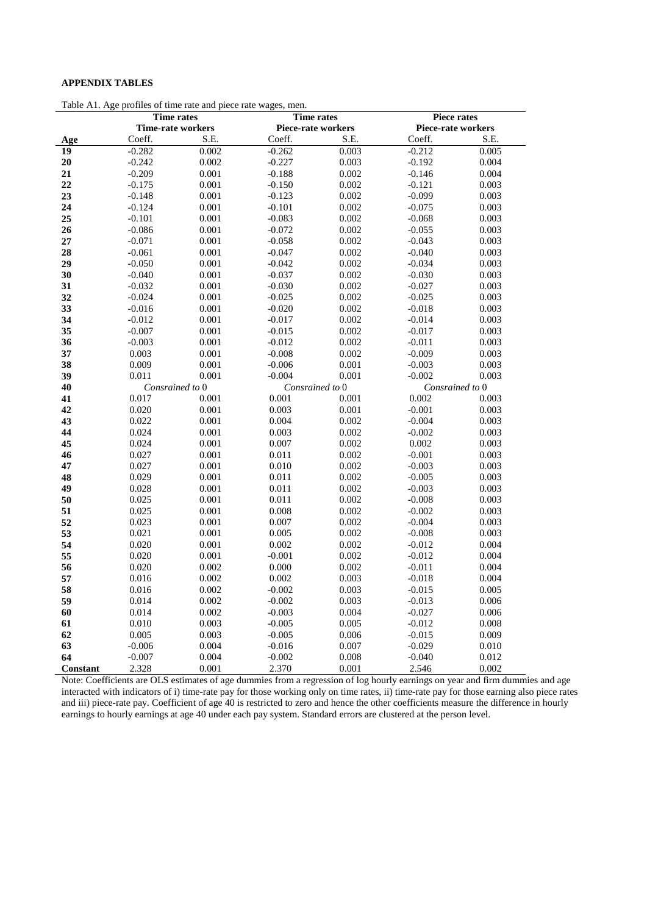#### **APPENDIX TABLES**

Table A1. Age profiles of time rate and piece rate wages, men.

|          | nos or umo ruto un<br><b>Time rates</b><br><b>Time rates</b> |                 |                 | Piece rates               |                 |                           |  |
|----------|--------------------------------------------------------------|-----------------|-----------------|---------------------------|-----------------|---------------------------|--|
|          | <b>Time-rate workers</b>                                     |                 |                 | <b>Piece-rate workers</b> |                 | <b>Piece-rate workers</b> |  |
| Age      | Coeff.                                                       | S.E.            | Coeff.          | S.E.                      | Coeff.          | S.E.                      |  |
| 19       | $-0.282$                                                     | 0.002           | $-0.262$        | 0.003                     | $-0.212$        | 0.005                     |  |
| 20       | $-0.242$                                                     | 0.002           | $-0.227$        | 0.003                     | $-0.192$        | 0.004                     |  |
| 21       | $-0.209$                                                     | 0.001           | $-0.188$        | 0.002                     | $-0.146$        | 0.004                     |  |
| 22       | $-0.175$                                                     | 0.001           | $-0.150$        | 0.002                     | $-0.121$        | 0.003                     |  |
| 23       | $-0.148$                                                     | 0.001           | $-0.123$        | 0.002                     | $-0.099$        | 0.003                     |  |
| 24       | $-0.124$                                                     | 0.001           | $-0.101$        | 0.002                     | $-0.075$        | 0.003                     |  |
| 25       | $-0.101$                                                     | 0.001           | $-0.083$        | 0.002                     | $-0.068$        | 0.003                     |  |
| 26       | $-0.086$                                                     | 0.001           | $-0.072$        | 0.002                     | $-0.055$        | 0.003                     |  |
| 27       | $-0.071$                                                     | 0.001           | $-0.058$        | 0.002                     | $-0.043$        | 0.003                     |  |
| 28       | $-0.061$                                                     | 0.001           | $-0.047$        | 0.002                     | $-0.040$        | 0.003                     |  |
| 29       | $-0.050$                                                     | 0.001           | $-0.042$        | 0.002                     | $-0.034$        | 0.003                     |  |
| 30       | $-0.040$                                                     | 0.001           | $-0.037$        | 0.002                     | $-0.030$        | 0.003                     |  |
| 31       | $-0.032$                                                     | 0.001           | $-0.030$        | 0.002                     | $-0.027$        | 0.003                     |  |
| 32       | $-0.024$                                                     | 0.001           | $-0.025$        | 0.002                     | $-0.025$        | 0.003                     |  |
| 33       | $-0.016$                                                     | 0.001           | $-0.020$        | 0.002                     | $-0.018$        | 0.003                     |  |
| 34       | $-0.012$                                                     | 0.001           | $-0.017$        | 0.002                     | $-0.014$        | 0.003                     |  |
| 35       | $-0.007$                                                     | 0.001           | $-0.015$        | 0.002                     | $-0.017$        | 0.003                     |  |
| 36       | $-0.003$                                                     | 0.001           | $-0.012$        | 0.002                     | $-0.011$        | 0.003                     |  |
| 37       | 0.003                                                        | 0.001           | $-0.008$        | 0.002                     | $-0.009$        | 0.003                     |  |
| 38       | 0.009                                                        | 0.001           | $-0.006$        | 0.001                     | $-0.003$        | 0.003                     |  |
| 39       | 0.011                                                        | 0.001           | $-0.004$        | 0.001                     | $-0.002$        | 0.003                     |  |
| 40       |                                                              | Consrained to 0 | Consrained to 0 |                           | Consrained to 0 |                           |  |
| 41       | 0.017                                                        | 0.001           | 0.001           | 0.001                     | 0.002           | 0.003                     |  |
| 42       | 0.020                                                        | 0.001           | 0.003           | 0.001                     | $-0.001$        | 0.003                     |  |
| 43       | 0.022                                                        | 0.001           | 0.004           | 0.002                     | $-0.004$        | 0.003                     |  |
| 44       | 0.024                                                        | 0.001           | 0.003           | 0.002                     | $-0.002$        | 0.003                     |  |
| 45       | 0.024                                                        | 0.001           | 0.007           | 0.002                     | 0.002           | 0.003                     |  |
| 46       | 0.027                                                        | 0.001           | 0.011           | 0.002                     | $-0.001$        | 0.003                     |  |
| 47       | 0.027                                                        | 0.001           | 0.010           | 0.002                     | $-0.003$        | 0.003                     |  |
| 48       | 0.029                                                        | 0.001           | 0.011           | 0.002                     | $-0.005$        | 0.003                     |  |
| 49       | 0.028                                                        | 0.001           | 0.011           | 0.002                     | $-0.003$        | 0.003                     |  |
| 50       | 0.025                                                        | 0.001           | 0.011           | 0.002                     | $-0.008$        | 0.003                     |  |
| 51       | 0.025                                                        | 0.001           | 0.008           | 0.002                     | $-0.002$        | 0.003                     |  |
| 52       | 0.023                                                        | 0.001           | 0.007           | 0.002                     | $-0.004$        | 0.003                     |  |
| 53       | 0.021                                                        | 0.001           | 0.005           | 0.002                     | $-0.008$        | 0.003                     |  |
| 54       | 0.020                                                        | 0.001           | 0.002           | 0.002                     | $-0.012$        | 0.004                     |  |
| 55       | 0.020                                                        | 0.001           | $-0.001$        | 0.002                     | $-0.012$        | 0.004                     |  |
| 56       | 0.020                                                        | 0.002           | 0.000           | 0.002                     | $-0.011$        | 0.004                     |  |
| 57       | 0.016                                                        | 0.002           | 0.002           | 0.003                     | $-0.018$        | 0.004                     |  |
| 58       | 0.016                                                        | 0.002           | $-0.002$        | 0.003                     | $-0.015$        | 0.005                     |  |
| 59       | 0.014                                                        | 0.002           | $-0.002$        | 0.003                     | $-0.013$        | 0.006                     |  |
| 60       | 0.014                                                        | 0.002           | $-0.003$        | 0.004                     | $-0.027$        | 0.006                     |  |
| 61       | 0.010                                                        | 0.003           | $-0.005$        | 0.005                     | $-0.012$        | 0.008                     |  |
| 62       | 0.005                                                        | 0.003           | $-0.005$        | 0.006                     | $-0.015$        | 0.009                     |  |
| 63       | $-0.006$                                                     | 0.004           | $-0.016$        | 0.007                     | $-0.029$        | 0.010                     |  |
| 64       | $-0.007$                                                     | 0.004           | $-0.002$        | 0.008                     | $-0.040$        | 0.012                     |  |
| Constant | 2.328                                                        | 0.001           | 2.370           | 0.001                     | 2.546           | 0.002                     |  |

Note: Coefficients are OLS estimates of age dummies from a regression of log hourly earnings on year and firm dummies and age interacted with indicators of i) time-rate pay for those working only on time rates, ii) time-rate pay for those earning also piece rates and iii) piece-rate pay. Coefficient of age 40 is restricted to zero and hence the other coefficients measure the difference in hourly earnings to hourly earnings at age 40 under each pay system. Standard errors are clustered at the person level.